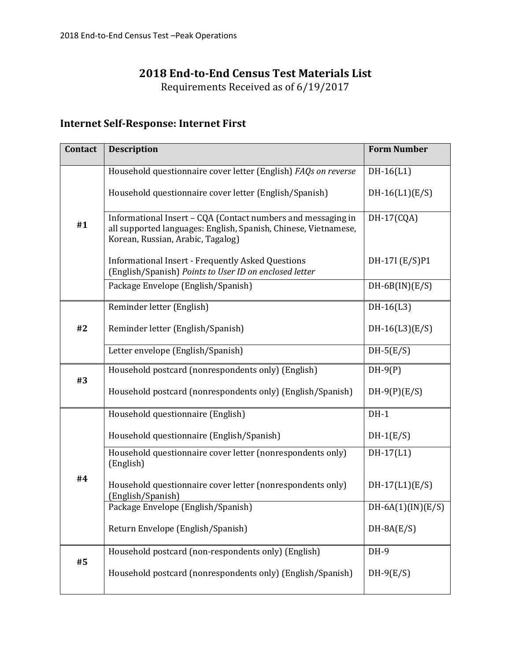#### **2018 End-to-End Census Test Materials List**

Requirements Received as of 6/19/2017

#### **Internet Self-Response: Internet First**

| <b>Contact</b> | <b>Description</b>                                                                                                                                                   | <b>Form Number</b>  |  |
|----------------|----------------------------------------------------------------------------------------------------------------------------------------------------------------------|---------------------|--|
|                | Household questionnaire cover letter (English) FAQs on reverse                                                                                                       | $DH-16(L1)$         |  |
|                | Household questionnaire cover letter (English/Spanish)                                                                                                               | $DH-16(L1)(E/S)$    |  |
| #1             | Informational Insert - CQA (Contact numbers and messaging in<br>all supported languages: English, Spanish, Chinese, Vietnamese,<br>Korean, Russian, Arabic, Tagalog) | DH-17(CQA)          |  |
|                | <b>Informational Insert - Frequently Asked Questions</b><br>(English/Spanish) Points to User ID on enclosed letter                                                   | DH-17I (E/S)P1      |  |
|                | Package Envelope (English/Spanish)                                                                                                                                   | $DH-6B(IN)(E/S)$    |  |
|                | Reminder letter (English)                                                                                                                                            | $DH-16(L3)$         |  |
| #2             | Reminder letter (English/Spanish)                                                                                                                                    | $DH-16(L3)(E/S)$    |  |
|                | Letter envelope (English/Spanish)                                                                                                                                    | $DH-5(E/S)$         |  |
| #3             | Household postcard (nonrespondents only) (English)                                                                                                                   | $DH-9(P)$           |  |
|                | Household postcard (nonrespondents only) (English/Spanish)                                                                                                           | $DH-9(P)(E/S)$      |  |
|                | Household questionnaire (English)                                                                                                                                    | $DH-1$              |  |
| #4             | Household questionnaire (English/Spanish)                                                                                                                            | $DH-1(E/S)$         |  |
|                | Household questionnaire cover letter (nonrespondents only)<br>(English)                                                                                              | $DH-17(L1)$         |  |
|                | Household questionnaire cover letter (nonrespondents only)<br>(English/Spanish)                                                                                      | $DH-17(L1)(E/S)$    |  |
|                | Package Envelope (English/Spanish)                                                                                                                                   | $DH-6A(1)(IN)(E/S)$ |  |
|                | Return Envelope (English/Spanish)                                                                                                                                    | $DH-8A(E/S)$        |  |
| #5             | Household postcard (non-respondents only) (English)                                                                                                                  | DH-9                |  |
|                | Household postcard (nonrespondents only) (English/Spanish)                                                                                                           | $DH-9(E/S)$         |  |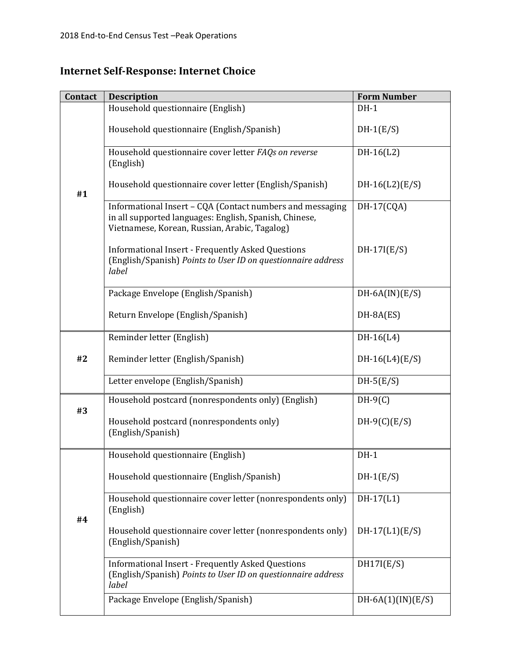# **Internet Self-Response: Internet Choice**

| <b>Contact</b> | <b>Description</b>                                                                                                                                                   | <b>Form Number</b>  |  |
|----------------|----------------------------------------------------------------------------------------------------------------------------------------------------------------------|---------------------|--|
|                | Household questionnaire (English)                                                                                                                                    | $DH-1$              |  |
| #1             | Household questionnaire (English/Spanish)                                                                                                                            | $DH-1(E/S)$         |  |
|                | Household questionnaire cover letter FAQs on reverse<br>(English)                                                                                                    | $DH-16(L2)$         |  |
|                | Household questionnaire cover letter (English/Spanish)                                                                                                               | $DH-16(L2)(E/S)$    |  |
|                | Informational Insert - CQA (Contact numbers and messaging<br>in all supported languages: English, Spanish, Chinese,<br>Vietnamese, Korean, Russian, Arabic, Tagalog) | DH-17(CQA)          |  |
|                | <b>Informational Insert - Frequently Asked Questions</b><br>(English/Spanish) Points to User ID on questionnaire address<br>label                                    | $DH-17I(E/S)$       |  |
|                | Package Envelope (English/Spanish)                                                                                                                                   | $DH-6A(IN)(E/S)$    |  |
|                | Return Envelope (English/Spanish)                                                                                                                                    | DH-8A(ES)           |  |
|                | Reminder letter (English)                                                                                                                                            | $DH-16(L4)$         |  |
| #2             | Reminder letter (English/Spanish)                                                                                                                                    | $DH-16(L4)(E/S)$    |  |
|                | Letter envelope (English/Spanish)                                                                                                                                    | $DH-5(E/S)$         |  |
|                | Household postcard (nonrespondents only) (English)                                                                                                                   | $DH-9(C)$           |  |
| #3             | Household postcard (nonrespondents only)<br>(English/Spanish)                                                                                                        | $DH-9(C)(E/S)$      |  |
|                | Household questionnaire (English)                                                                                                                                    | $DH-1$              |  |
| #4             | Household questionnaire (English/Spanish)                                                                                                                            | $DH-1(E/S)$         |  |
|                | Household questionnaire cover letter (nonrespondents only)<br>(English)                                                                                              | DH-17(L1)           |  |
|                | Household questionnaire cover letter (nonrespondents only)<br>(English/Spanish)                                                                                      | $DH-17(L1)(E/S)$    |  |
|                | <b>Informational Insert - Frequently Asked Questions</b><br>(English/Spanish) Points to User ID on questionnaire address<br>label                                    | DH17I(E/S)          |  |
|                | Package Envelope (English/Spanish)                                                                                                                                   | $DH-6A(1)(IN)(E/S)$ |  |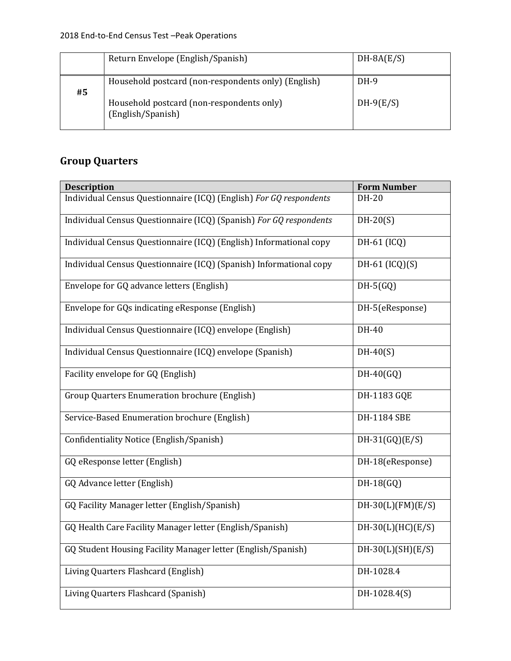|    | Return Envelope (English/Spanish)                                                                | $DH-8A(E/S)$          |
|----|--------------------------------------------------------------------------------------------------|-----------------------|
| #5 | Household postcard (non-respondents only) (English)<br>Household postcard (non-respondents only) | $DH-9$<br>$DH-9(E/S)$ |
|    | (English/Spanish)                                                                                |                       |

# **Group Quarters**

| <b>Description</b>                                                 | <b>Form Number</b>  |
|--------------------------------------------------------------------|---------------------|
| Individual Census Questionnaire (ICQ) (English) For GQ respondents | DH-20               |
| Individual Census Questionnaire (ICQ) (Spanish) For GQ respondents | $DH-20(S)$          |
| Individual Census Questionnaire (ICQ) (English) Informational copy | DH-61 (ICQ)         |
| Individual Census Questionnaire (ICQ) (Spanish) Informational copy | DH-61 $(ICQ)(S)$    |
| Envelope for GQ advance letters (English)                          | $DH-5(GQ)$          |
| Envelope for GQs indicating eResponse (English)                    | DH-5(eResponse)     |
| Individual Census Questionnaire (ICQ) envelope (English)           | DH-40               |
| Individual Census Questionnaire (ICQ) envelope (Spanish)           | $DH-40(S)$          |
| Facility envelope for GQ (English)                                 | $DH-40(GQ)$         |
| Group Quarters Enumeration brochure (English)                      | DH-1183 GQE         |
| Service-Based Enumeration brochure (English)                       | <b>DH-1184 SBE</b>  |
| Confidentiality Notice (English/Spanish)                           | $DH-31(GQ)(E/S)$    |
| GQ eResponse letter (English)                                      | DH-18(eResponse)    |
| GQ Advance letter (English)                                        | $DH-18(GQ)$         |
| GQ Facility Manager letter (English/Spanish)                       | $DH-30(L)(FM)(E/S)$ |
| GQ Health Care Facility Manager letter (English/Spanish)           | $DH-30(L)(HC)(E/S)$ |
| GQ Student Housing Facility Manager letter (English/Spanish)       | $DH-30(L)(SH)(E/S)$ |
| Living Quarters Flashcard (English)                                | DH-1028.4           |
| Living Quarters Flashcard (Spanish)                                | DH-1028.4(S)        |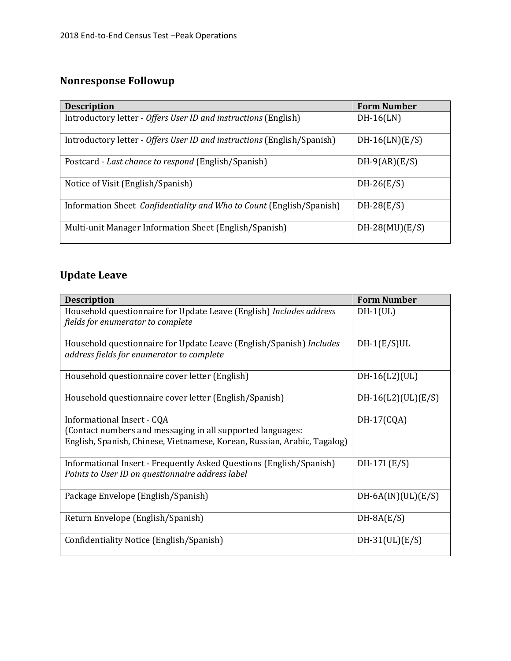# **Nonresponse Followup**

| <b>Description</b>                                                      | <b>Form Number</b> |
|-------------------------------------------------------------------------|--------------------|
| Introductory letter - Offers User ID and instructions (English)         | $DH-16(LN)$        |
| Introductory letter - Offers User ID and instructions (English/Spanish) | $DH-16(LN)(E/S)$   |
| Postcard - Last chance to respond (English/Spanish)                     | $DH-9(AR)(E/S)$    |
| Notice of Visit (English/Spanish)                                       | $DH-26(E/S)$       |
| Information Sheet Confidentiality and Who to Count (English/Spanish)    | $DH-28(E/S)$       |
| Multi-unit Manager Information Sheet (English/Spanish)                  | $DH-28(MU)(E/S)$   |

# **Update Leave**

| <b>Description</b>                                                                                                      | <b>Form Number</b>   |
|-------------------------------------------------------------------------------------------------------------------------|----------------------|
| Household questionnaire for Update Leave (English) Includes address<br>fields for enumerator to complete                | $DH-1(UL)$           |
| Household questionnaire for Update Leave (English/Spanish) Includes<br>address fields for enumerator to complete        | $DH-1(E/S)UL$        |
| Household questionnaire cover letter (English)                                                                          | $DH-16(L2) (UL)$     |
| Household questionnaire cover letter (English/Spanish)                                                                  | $DH-16(L2)(UL)(E/S)$ |
| Informational Insert - CQA                                                                                              | $DH-17(CQA)$         |
| (Contact numbers and messaging in all supported languages:                                                              |                      |
| English, Spanish, Chinese, Vietnamese, Korean, Russian, Arabic, Tagalog)                                                |                      |
| Informational Insert - Frequently Asked Questions (English/Spanish)<br>Points to User ID on questionnaire address label | $DH-17I(E/S)$        |
| Package Envelope (English/Spanish)                                                                                      | $DH-6A(IN)(UL)(E/S)$ |
| Return Envelope (English/Spanish)                                                                                       | $DH-8A(E/S)$         |
| Confidentiality Notice (English/Spanish)                                                                                | $DH-31(UL)(E/S)$     |